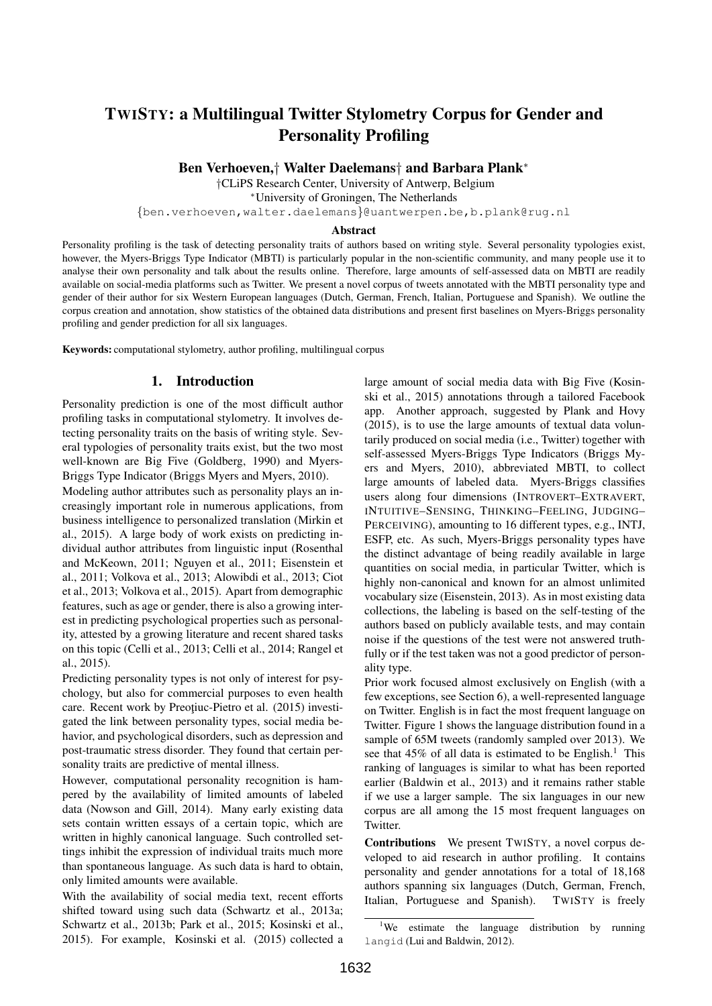# TWISTY: a Multilingual Twitter Stylometry Corpus for Gender and Personality Profiling

Ben Verhoeven,† Walter Daelemans† and Barbara Plank<sup>∗</sup>

†CLiPS Research Center, University of Antwerp, Belgium

<sup>∗</sup>University of Groningen, The Netherlands

{ben.verhoeven,walter.daelemans}@uantwerpen.be,b.plank@rug.nl

#### Abstract

Personality profiling is the task of detecting personality traits of authors based on writing style. Several personality typologies exist, however, the Myers-Briggs Type Indicator (MBTI) is particularly popular in the non-scientific community, and many people use it to analyse their own personality and talk about the results online. Therefore, large amounts of self-assessed data on MBTI are readily available on social-media platforms such as Twitter. We present a novel corpus of tweets annotated with the MBTI personality type and gender of their author for six Western European languages (Dutch, German, French, Italian, Portuguese and Spanish). We outline the corpus creation and annotation, show statistics of the obtained data distributions and present first baselines on Myers-Briggs personality profiling and gender prediction for all six languages.

Keywords: computational stylometry, author profiling, multilingual corpus

### 1. Introduction

Personality prediction is one of the most difficult author profiling tasks in computational stylometry. It involves detecting personality traits on the basis of writing style. Several typologies of personality traits exist, but the two most well-known are Big Five (Goldberg, 1990) and Myers-Briggs Type Indicator (Briggs Myers and Myers, 2010).

Modeling author attributes such as personality plays an increasingly important role in numerous applications, from business intelligence to personalized translation (Mirkin et al., 2015). A large body of work exists on predicting individual author attributes from linguistic input (Rosenthal and McKeown, 2011; Nguyen et al., 2011; Eisenstein et al., 2011; Volkova et al., 2013; Alowibdi et al., 2013; Ciot et al., 2013; Volkova et al., 2015). Apart from demographic features, such as age or gender, there is also a growing interest in predicting psychological properties such as personality, attested by a growing literature and recent shared tasks on this topic (Celli et al., 2013; Celli et al., 2014; Rangel et al., 2015).

Predicting personality types is not only of interest for psychology, but also for commercial purposes to even health care. Recent work by Preotiuc-Pietro et al. (2015) investigated the link between personality types, social media behavior, and psychological disorders, such as depression and post-traumatic stress disorder. They found that certain personality traits are predictive of mental illness.

However, computational personality recognition is hampered by the availability of limited amounts of labeled data (Nowson and Gill, 2014). Many early existing data sets contain written essays of a certain topic, which are written in highly canonical language. Such controlled settings inhibit the expression of individual traits much more than spontaneous language. As such data is hard to obtain, only limited amounts were available.

With the availability of social media text, recent efforts shifted toward using such data (Schwartz et al., 2013a; Schwartz et al., 2013b; Park et al., 2015; Kosinski et al., 2015). For example, Kosinski et al. (2015) collected a large amount of social media data with Big Five (Kosinski et al., 2015) annotations through a tailored Facebook app. Another approach, suggested by Plank and Hovy (2015), is to use the large amounts of textual data voluntarily produced on social media (i.e., Twitter) together with self-assessed Myers-Briggs Type Indicators (Briggs Myers and Myers, 2010), abbreviated MBTI, to collect large amounts of labeled data. Myers-Briggs classifies users along four dimensions (INTROVERT–EXTRAVERT, INTUITIVE–SENSING, THINKING–FEELING, JUDGING– PERCEIVING), amounting to 16 different types, e.g., INTJ, ESFP, etc. As such, Myers-Briggs personality types have the distinct advantage of being readily available in large quantities on social media, in particular Twitter, which is highly non-canonical and known for an almost unlimited vocabulary size (Eisenstein, 2013). As in most existing data collections, the labeling is based on the self-testing of the authors based on publicly available tests, and may contain noise if the questions of the test were not answered truthfully or if the test taken was not a good predictor of personality type.

Prior work focused almost exclusively on English (with a few exceptions, see Section 6), a well-represented language on Twitter. English is in fact the most frequent language on Twitter. Figure 1 shows the language distribution found in a sample of 65M tweets (randomly sampled over 2013). We see that  $45\%$  of all data is estimated to be English.<sup>1</sup> This ranking of languages is similar to what has been reported earlier (Baldwin et al., 2013) and it remains rather stable if we use a larger sample. The six languages in our new corpus are all among the 15 most frequent languages on Twitter.

Contributions We present TWISTY, a novel corpus developed to aid research in author profiling. It contains personality and gender annotations for a total of 18,168 authors spanning six languages (Dutch, German, French, Italian, Portuguese and Spanish). TWISTY is freely

<sup>&</sup>lt;sup>1</sup>We estimate the language distribution by running langid (Lui and Baldwin, 2012).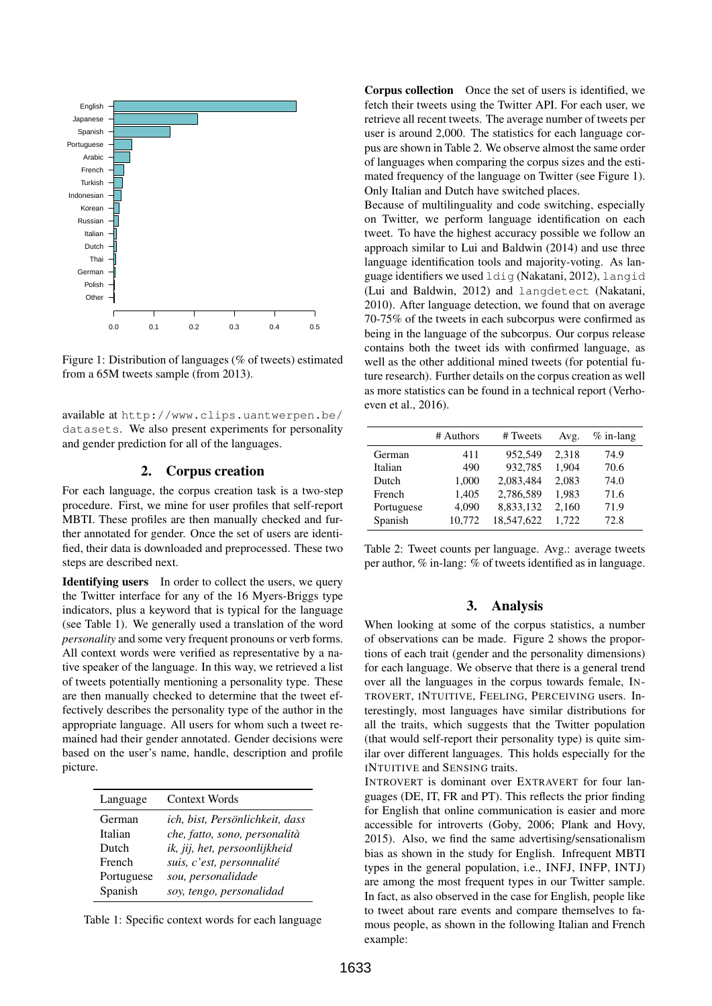

Figure 1: Distribution of languages (% of tweets) estimated from a 65M tweets sample (from 2013).

available at http://www.clips.uantwerpen.be/ datasets. We also present experiments for personality and gender prediction for all of the languages.

### 2. Corpus creation

For each language, the corpus creation task is a two-step procedure. First, we mine for user profiles that self-report MBTI. These profiles are then manually checked and further annotated for gender. Once the set of users are identified, their data is downloaded and preprocessed. These two steps are described next.

Identifying users In order to collect the users, we query the Twitter interface for any of the 16 Myers-Briggs type indicators, plus a keyword that is typical for the language (see Table 1). We generally used a translation of the word *personality* and some very frequent pronouns or verb forms. All context words were verified as representative by a native speaker of the language. In this way, we retrieved a list of tweets potentially mentioning a personality type. These are then manually checked to determine that the tweet effectively describes the personality type of the author in the appropriate language. All users for whom such a tweet remained had their gender annotated. Gender decisions were based on the user's name, handle, description and profile picture.

| Language   | <b>Context Words</b>            |
|------------|---------------------------------|
| German     | ich, bist, Persönlichkeit, dass |
| Italian    | che, fatto, sono, personalità   |
| Dutch      | ik, jij, het, persoonlijkheid   |
| French     | suis, c'est, personnalité       |
| Portuguese | sou, personalidade              |
| Spanish    | soy, tengo, personalidad        |

Table 1: Specific context words for each language

Corpus collection Once the set of users is identified, we fetch their tweets using the Twitter API. For each user, we retrieve all recent tweets. The average number of tweets per user is around 2,000. The statistics for each language corpus are shown in Table 2. We observe almost the same order of languages when comparing the corpus sizes and the estimated frequency of the language on Twitter (see Figure 1). Only Italian and Dutch have switched places.

Because of multilinguality and code switching, especially on Twitter, we perform language identification on each tweet. To have the highest accuracy possible we follow an approach similar to Lui and Baldwin (2014) and use three language identification tools and majority-voting. As language identifiers we used ldig (Nakatani, 2012), langid (Lui and Baldwin, 2012) and langdetect (Nakatani, 2010). After language detection, we found that on average 70-75% of the tweets in each subcorpus were confirmed as being in the language of the subcorpus. Our corpus release contains both the tweet ids with confirmed language, as well as the other additional mined tweets (for potential future research). Further details on the corpus creation as well as more statistics can be found in a technical report (Verhoeven et al., 2016).

|            | # Authors | # Tweets   | Avg.  | $%$ in-lang |
|------------|-----------|------------|-------|-------------|
| German     | 411       | 952.549    | 2,318 | 74.9        |
| Italian    | 490       | 932,785    | 1,904 | 70.6        |
| Dutch      | 1,000     | 2.083.484  | 2,083 | 74.0        |
| French     | 1,405     | 2,786,589  | 1,983 | 71.6        |
| Portuguese | 4,090     | 8,833,132  | 2,160 | 71.9        |
| Spanish    | 10,772    | 18,547,622 | 1,722 | 72.8        |

| Table 2: Tweet counts per language. Avg.: average tweets      |  |  |  |
|---------------------------------------------------------------|--|--|--|
| per author, % in-lang: % of tweets identified as in language. |  |  |  |

### 3. Analysis

When looking at some of the corpus statistics, a number of observations can be made. Figure 2 shows the proportions of each trait (gender and the personality dimensions) for each language. We observe that there is a general trend over all the languages in the corpus towards female, IN-TROVERT, INTUITIVE, FEELING, PERCEIVING users. Interestingly, most languages have similar distributions for all the traits, which suggests that the Twitter population (that would self-report their personality type) is quite similar over different languages. This holds especially for the INTUITIVE and SENSING traits.

INTROVERT is dominant over EXTRAVERT for four languages (DE, IT, FR and PT). This reflects the prior finding for English that online communication is easier and more accessible for introverts (Goby, 2006; Plank and Hovy, 2015). Also, we find the same advertising/sensationalism bias as shown in the study for English. Infrequent MBTI types in the general population, i.e., INFJ, INFP, INTJ) are among the most frequent types in our Twitter sample. In fact, as also observed in the case for English, people like to tweet about rare events and compare themselves to famous people, as shown in the following Italian and French example: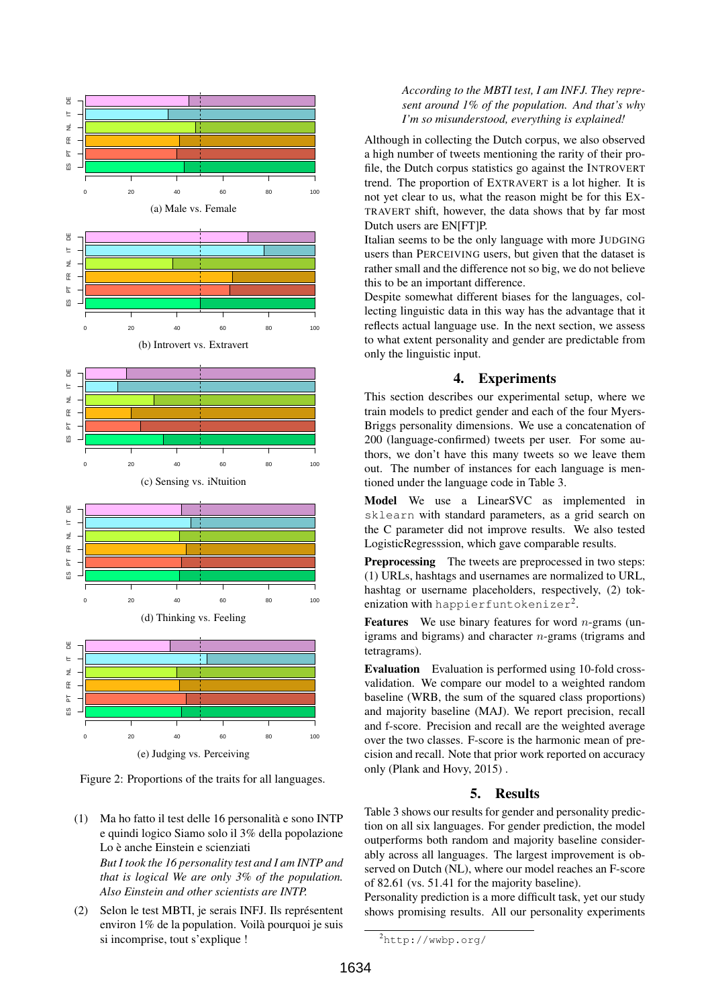

Figure 2: Proportions of the traits for all languages.

(1) Ma ho fatto il test delle 16 personalita e sono INTP ` e quindi logico Siamo solo il 3% della popolazione Lo è anche Einstein e scienziati

*But I took the 16 personality test and I am INTP and that is logical We are only 3% of the population. Also Einstein and other scientists are INTP.*

(2) Selon le test MBTI, je serais INFJ. Ils représentent environ 1% de la population. Voila pourquoi je suis ` si incomprise, tout s'explique !

### *According to the MBTI test, I am INFJ. They represent around 1% of the population. And that's why I'm so misunderstood, everything is explained!*

Although in collecting the Dutch corpus, we also observed a high number of tweets mentioning the rarity of their profile, the Dutch corpus statistics go against the INTROVERT trend. The proportion of EXTRAVERT is a lot higher. It is not yet clear to us, what the reason might be for this EX-TRAVERT shift, however, the data shows that by far most Dutch users are EN[FT]P.

Italian seems to be the only language with more JUDGING users than PERCEIVING users, but given that the dataset is rather small and the difference not so big, we do not believe this to be an important difference.

Despite somewhat different biases for the languages, collecting linguistic data in this way has the advantage that it reflects actual language use. In the next section, we assess to what extent personality and gender are predictable from only the linguistic input.

# 4. Experiments

This section describes our experimental setup, where we train models to predict gender and each of the four Myers-Briggs personality dimensions. We use a concatenation of 200 (language-confirmed) tweets per user. For some authors, we don't have this many tweets so we leave them out. The number of instances for each language is mentioned under the language code in Table 3.

Model We use a LinearSVC as implemented in sklearn with standard parameters, as a grid search on the C parameter did not improve results. We also tested LogisticRegresssion, which gave comparable results.

Preprocessing The tweets are preprocessed in two steps: (1) URLs, hashtags and usernames are normalized to URL, hashtag or username placeholders, respectively, (2) tokenization with <code>happierfuntokenizer $^2$ .</code>

**Features** We use binary features for word *n*-grams (unigrams and bigrams) and character  $n$ -grams (trigrams and tetragrams).

Evaluation Evaluation is performed using 10-fold crossvalidation. We compare our model to a weighted random baseline (WRB, the sum of the squared class proportions) and majority baseline (MAJ). We report precision, recall and f-score. Precision and recall are the weighted average over the two classes. F-score is the harmonic mean of precision and recall. Note that prior work reported on accuracy only (Plank and Hovy, 2015) .

## 5. Results

Table 3 shows our results for gender and personality prediction on all six languages. For gender prediction, the model outperforms both random and majority baseline considerably across all languages. The largest improvement is observed on Dutch (NL), where our model reaches an F-score of 82.61 (vs. 51.41 for the majority baseline).

Personality prediction is a more difficult task, yet our study shows promising results. All our personality experiments

<sup>2</sup>http://wwbp.org/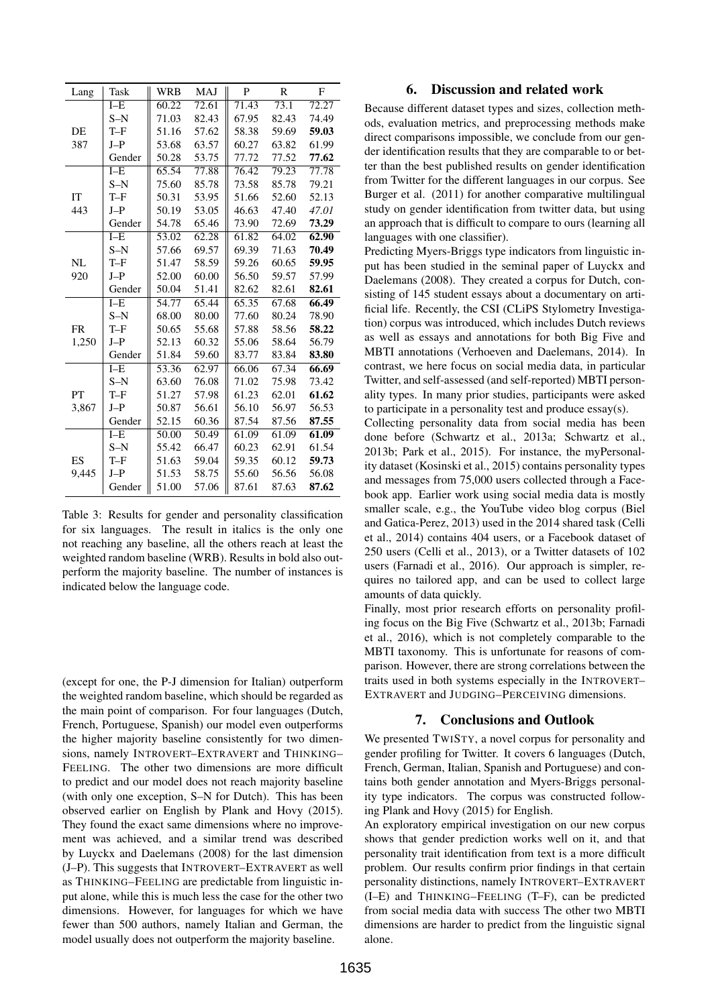| Lang      | Task    | <b>WRB</b> | <b>MAJ</b> | P     | $\mathbb{R}$ | F     |
|-----------|---------|------------|------------|-------|--------------|-------|
|           | $I - E$ | 60.22      | 72.61      | 71.43 | 73.1         | 72.27 |
|           | $S-N$   | 71.03      | 82.43      | 67.95 | 82.43        | 74.49 |
| DE        | $T-F$   | 51.16      | 57.62      | 58.38 | 59.69        | 59.03 |
| 387       | $J-P$   | 53.68      | 63.57      | 60.27 | 63.82        | 61.99 |
|           | Gender  | 50.28      | 53.75      | 77.72 | 77.52        | 77.62 |
|           | $I - E$ | 65.54      | 77.88      | 76.42 | 79.23        | 77.78 |
|           | $S-N$   | 75.60      | 85.78      | 73.58 | 85.78        | 79.21 |
| IT        | $T-F$   | 50.31      | 53.95      | 51.66 | 52.60        | 52.13 |
| 443       | $J-P$   | 50.19      | 53.05      | 46.63 | 47.40        | 47.01 |
|           | Gender  | 54.78      | 65.46      | 73.90 | 72.69        | 73.29 |
|           | $I - E$ | 53.02      | 62.28      | 61.82 | 64.02        | 62.90 |
|           | $S-N$   | 57.66      | 69.57      | 69.39 | 71.63        | 70.49 |
| NL        | $T-F$   | 51.47      | 58.59      | 59.26 | 60.65        | 59.95 |
| 920       | $J-P$   | 52.00      | 60.00      | 56.50 | 59.57        | 57.99 |
|           | Gender  | 50.04      | 51.41      | 82.62 | 82.61        | 82.61 |
|           | $I - E$ | 54.77      | 65.44      | 65.35 | 67.68        | 66.49 |
|           | $S-N$   | 68.00      | 80.00      | 77.60 | 80.24        | 78.90 |
| <b>FR</b> | $T-F$   | 50.65      | 55.68      | 57.88 | 58.56        | 58.22 |
| 1,250     | $J-P$   | 52.13      | 60.32      | 55.06 | 58.64        | 56.79 |
|           | Gender  | 51.84      | 59.60      | 83.77 | 83.84        | 83.80 |
|           | $I - E$ | 53.36      | 62.97      | 66.06 | 67.34        | 66.69 |
|           | $S-N$   | 63.60      | 76.08      | 71.02 | 75.98        | 73.42 |
| PT        | $T-F$   | 51.27      | 57.98      | 61.23 | 62.01        | 61.62 |
| 3,867     | $J-P$   | 50.87      | 56.61      | 56.10 | 56.97        | 56.53 |
|           | Gender  | 52.15      | 60.36      | 87.54 | 87.56        | 87.55 |
|           | $I - E$ | 50.00      | 50.49      | 61.09 | 61.09        | 61.09 |
|           | $S-N$   | 55.42      | 66.47      | 60.23 | 62.91        | 61.54 |
| ES        | $T-F$   | 51.63      | 59.04      | 59.35 | 60.12        | 59.73 |
| 9,445     | $J-P$   | 51.53      | 58.75      | 55.60 | 56.56        | 56.08 |
|           | Gender  | 51.00      | 57.06      | 87.61 | 87.63        | 87.62 |

Table 3: Results for gender and personality classification for six languages. The result in italics is the only one not reaching any baseline, all the others reach at least the weighted random baseline (WRB). Results in bold also outperform the majority baseline. The number of instances is indicated below the language code.

(except for one, the P-J dimension for Italian) outperform the weighted random baseline, which should be regarded as the main point of comparison. For four languages (Dutch, French, Portuguese, Spanish) our model even outperforms the higher majority baseline consistently for two dimensions, namely INTROVERT–EXTRAVERT and THINKING– FEELING. The other two dimensions are more difficult to predict and our model does not reach majority baseline (with only one exception, S–N for Dutch). This has been observed earlier on English by Plank and Hovy (2015). They found the exact same dimensions where no improvement was achieved, and a similar trend was described by Luyckx and Daelemans (2008) for the last dimension (J–P). This suggests that INTROVERT–EXTRAVERT as well as THINKING–FEELING are predictable from linguistic input alone, while this is much less the case for the other two dimensions. However, for languages for which we have fewer than 500 authors, namely Italian and German, the model usually does not outperform the majority baseline.

### 6. Discussion and related work

Because different dataset types and sizes, collection methods, evaluation metrics, and preprocessing methods make direct comparisons impossible, we conclude from our gender identification results that they are comparable to or better than the best published results on gender identification from Twitter for the different languages in our corpus. See Burger et al. (2011) for another comparative multilingual study on gender identification from twitter data, but using an approach that is difficult to compare to ours (learning all languages with one classifier).

Predicting Myers-Briggs type indicators from linguistic input has been studied in the seminal paper of Luyckx and Daelemans (2008). They created a corpus for Dutch, consisting of 145 student essays about a documentary on artificial life. Recently, the CSI (CLiPS Stylometry Investigation) corpus was introduced, which includes Dutch reviews as well as essays and annotations for both Big Five and MBTI annotations (Verhoeven and Daelemans, 2014). In contrast, we here focus on social media data, in particular Twitter, and self-assessed (and self-reported) MBTI personality types. In many prior studies, participants were asked to participate in a personality test and produce essay(s).

Collecting personality data from social media has been done before (Schwartz et al., 2013a; Schwartz et al., 2013b; Park et al., 2015). For instance, the myPersonality dataset (Kosinski et al., 2015) contains personality types and messages from 75,000 users collected through a Facebook app. Earlier work using social media data is mostly smaller scale, e.g., the YouTube video blog corpus (Biel and Gatica-Perez, 2013) used in the 2014 shared task (Celli et al., 2014) contains 404 users, or a Facebook dataset of 250 users (Celli et al., 2013), or a Twitter datasets of 102 users (Farnadi et al., 2016). Our approach is simpler, requires no tailored app, and can be used to collect large amounts of data quickly.

Finally, most prior research efforts on personality profiling focus on the Big Five (Schwartz et al., 2013b; Farnadi et al., 2016), which is not completely comparable to the MBTI taxonomy. This is unfortunate for reasons of comparison. However, there are strong correlations between the traits used in both systems especially in the INTROVERT– EXTRAVERT and JUDGING–PERCEIVING dimensions.

#### 7. Conclusions and Outlook

We presented TWISTY, a novel corpus for personality and gender profiling for Twitter. It covers 6 languages (Dutch, French, German, Italian, Spanish and Portuguese) and contains both gender annotation and Myers-Briggs personality type indicators. The corpus was constructed following Plank and Hovy (2015) for English.

An exploratory empirical investigation on our new corpus shows that gender prediction works well on it, and that personality trait identification from text is a more difficult problem. Our results confirm prior findings in that certain personality distinctions, namely INTROVERT–EXTRAVERT (I–E) and THINKING–FEELING (T–F), can be predicted from social media data with success The other two MBTI dimensions are harder to predict from the linguistic signal alone.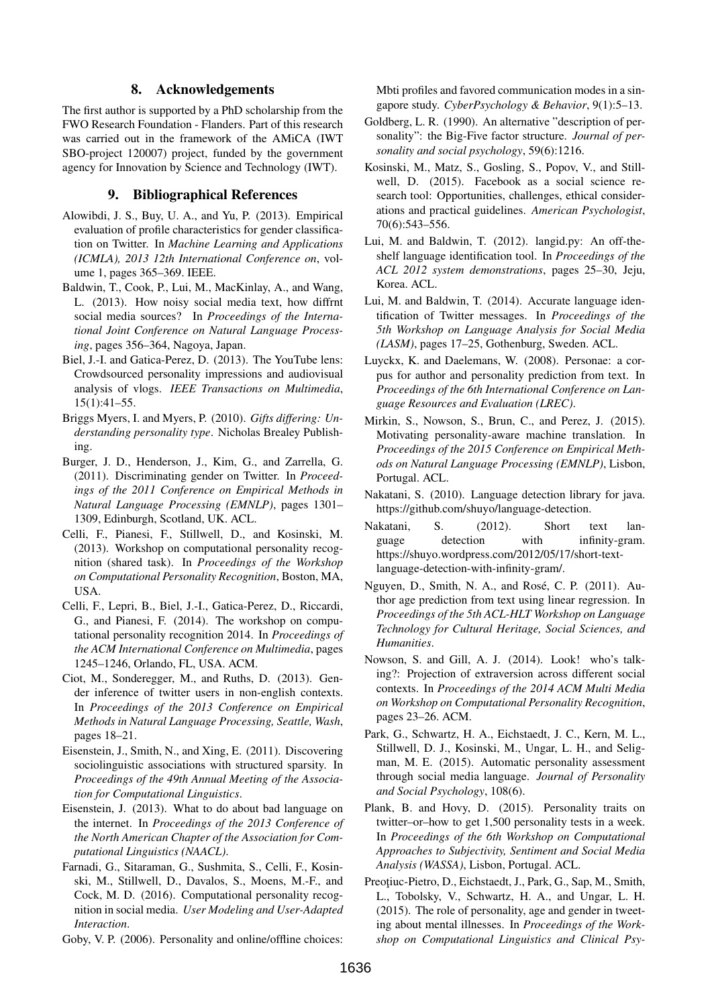### 8. Acknowledgements

The first author is supported by a PhD scholarship from the FWO Research Foundation - Flanders. Part of this research was carried out in the framework of the AMiCA (IWT SBO-project 120007) project, funded by the government agency for Innovation by Science and Technology (IWT).

### 9. Bibliographical References

- Alowibdi, J. S., Buy, U. A., and Yu, P. (2013). Empirical evaluation of profile characteristics for gender classification on Twitter. In *Machine Learning and Applications (ICMLA), 2013 12th International Conference on*, volume 1, pages 365–369. IEEE.
- Baldwin, T., Cook, P., Lui, M., MacKinlay, A., and Wang, L. (2013). How noisy social media text, how diffrnt social media sources? In *Proceedings of the International Joint Conference on Natural Language Processing*, pages 356–364, Nagoya, Japan.
- Biel, J.-I. and Gatica-Perez, D. (2013). The YouTube lens: Crowdsourced personality impressions and audiovisual analysis of vlogs. *IEEE Transactions on Multimedia*, 15(1):41–55.
- Briggs Myers, I. and Myers, P. (2010). *Gifts differing: Understanding personality type*. Nicholas Brealey Publishing.
- Burger, J. D., Henderson, J., Kim, G., and Zarrella, G. (2011). Discriminating gender on Twitter. In *Proceedings of the 2011 Conference on Empirical Methods in Natural Language Processing (EMNLP)*, pages 1301– 1309, Edinburgh, Scotland, UK. ACL.
- Celli, F., Pianesi, F., Stillwell, D., and Kosinski, M. (2013). Workshop on computational personality recognition (shared task). In *Proceedings of the Workshop on Computational Personality Recognition*, Boston, MA, USA.
- Celli, F., Lepri, B., Biel, J.-I., Gatica-Perez, D., Riccardi, G., and Pianesi, F. (2014). The workshop on computational personality recognition 2014. In *Proceedings of the ACM International Conference on Multimedia*, pages 1245–1246, Orlando, FL, USA. ACM.
- Ciot, M., Sonderegger, M., and Ruths, D. (2013). Gender inference of twitter users in non-english contexts. In *Proceedings of the 2013 Conference on Empirical Methods in Natural Language Processing, Seattle, Wash*, pages 18–21.
- Eisenstein, J., Smith, N., and Xing, E. (2011). Discovering sociolinguistic associations with structured sparsity. In *Proceedings of the 49th Annual Meeting of the Association for Computational Linguistics*.
- Eisenstein, J. (2013). What to do about bad language on the internet. In *Proceedings of the 2013 Conference of the North American Chapter of the Association for Computational Linguistics (NAACL)*.
- Farnadi, G., Sitaraman, G., Sushmita, S., Celli, F., Kosinski, M., Stillwell, D., Davalos, S., Moens, M.-F., and Cock, M. D. (2016). Computational personality recognition in social media. *User Modeling and User-Adapted Interaction*.

Goby, V. P. (2006). Personality and online/offline choices:

Mbti profiles and favored communication modes in a singapore study. *CyberPsychology & Behavior*, 9(1):5–13.

- Goldberg, L. R. (1990). An alternative "description of personality": the Big-Five factor structure. *Journal of personality and social psychology*, 59(6):1216.
- Kosinski, M., Matz, S., Gosling, S., Popov, V., and Stillwell, D. (2015). Facebook as a social science research tool: Opportunities, challenges, ethical considerations and practical guidelines. *American Psychologist*, 70(6):543–556.
- Lui, M. and Baldwin, T. (2012). langid.py: An off-theshelf language identification tool. In *Proceedings of the ACL 2012 system demonstrations*, pages 25–30, Jeju, Korea. ACL.
- Lui, M. and Baldwin, T. (2014). Accurate language identification of Twitter messages. In *Proceedings of the 5th Workshop on Language Analysis for Social Media (LASM)*, pages 17–25, Gothenburg, Sweden. ACL.
- Luyckx, K. and Daelemans, W. (2008). Personae: a corpus for author and personality prediction from text. In *Proceedings of the 6th International Conference on Language Resources and Evaluation (LREC)*.
- Mirkin, S., Nowson, S., Brun, C., and Perez, J. (2015). Motivating personality-aware machine translation. In *Proceedings of the 2015 Conference on Empirical Methods on Natural Language Processing (EMNLP)*, Lisbon, Portugal. ACL.
- Nakatani, S. (2010). Language detection library for java. https://github.com/shuyo/language-detection.
- Nakatani, S. (2012). Short text language detection with infinity-gram. https://shuyo.wordpress.com/2012/05/17/short-textlanguage-detection-with-infinity-gram/.
- Nguyen, D., Smith, N. A., and Rosé, C. P. (2011). Author age prediction from text using linear regression. In *Proceedings of the 5th ACL-HLT Workshop on Language Technology for Cultural Heritage, Social Sciences, and Humanities*.
- Nowson, S. and Gill, A. J. (2014). Look! who's talking?: Projection of extraversion across different social contexts. In *Proceedings of the 2014 ACM Multi Media on Workshop on Computational Personality Recognition*, pages 23–26. ACM.
- Park, G., Schwartz, H. A., Eichstaedt, J. C., Kern, M. L., Stillwell, D. J., Kosinski, M., Ungar, L. H., and Seligman, M. E. (2015). Automatic personality assessment through social media language. *Journal of Personality and Social Psychology*, 108(6).
- Plank, B. and Hovy, D. (2015). Personality traits on twitter–or–how to get 1,500 personality tests in a week. In *Proceedings of the 6th Workshop on Computational Approaches to Subjectivity, Sentiment and Social Media Analysis (WASSA)*, Lisbon, Portugal. ACL.
- Preoțiuc-Pietro, D., Eichstaedt, J., Park, G., Sap, M., Smith, L., Tobolsky, V., Schwartz, H. A., and Ungar, L. H. (2015). The role of personality, age and gender in tweeting about mental illnesses. In *Proceedings of the Workshop on Computational Linguistics and Clinical Psy-*